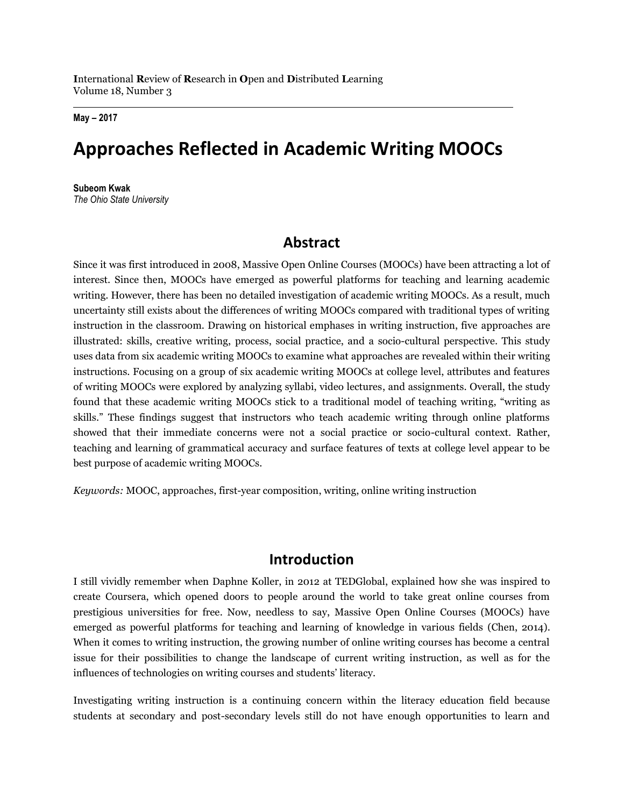**May – 2017**

# **Approaches Reflected in Academic Writing MOOCs**

**Subeom Kwak** *The Ohio State University*

### **Abstract**

Since it was first introduced in 2008, Massive Open Online Courses (MOOCs) have been attracting a lot of interest. Since then, MOOCs have emerged as powerful platforms for teaching and learning academic writing. However, there has been no detailed investigation of academic writing MOOCs. As a result, much uncertainty still exists about the differences of writing MOOCs compared with traditional types of writing instruction in the classroom. Drawing on historical emphases in writing instruction, five approaches are illustrated: skills, creative writing, process, social practice, and a socio-cultural perspective. This study uses data from six academic writing MOOCs to examine what approaches are revealed within their writing instructions. Focusing on a group of six academic writing MOOCs at college level, attributes and features of writing MOOCs were explored by analyzing syllabi, video lectures, and assignments. Overall, the study found that these academic writing MOOCs stick to a traditional model of teaching writing, "writing as skills." These findings suggest that instructors who teach academic writing through online platforms showed that their immediate concerns were not a social practice or socio-cultural context. Rather, teaching and learning of grammatical accuracy and surface features of texts at college level appear to be best purpose of academic writing MOOCs.

*Keywords:* MOOC, approaches, first-year composition, writing, online writing instruction

## **Introduction**

I still vividly remember when Daphne Koller, in 2012 at TEDGlobal, explained how she was inspired to create Coursera, which opened doors to people around the world to take great online courses from prestigious universities for free. Now, needless to say, Massive Open Online Courses (MOOCs) have emerged as powerful platforms for teaching and learning of knowledge in various fields (Chen, 2014). When it comes to writing instruction, the growing number of online writing courses has become a central issue for their possibilities to change the landscape of current writing instruction, as well as for the influences of technologies on writing courses and students' literacy.

Investigating writing instruction is a continuing concern within the literacy education field because students at secondary and post-secondary levels still do not have enough opportunities to learn and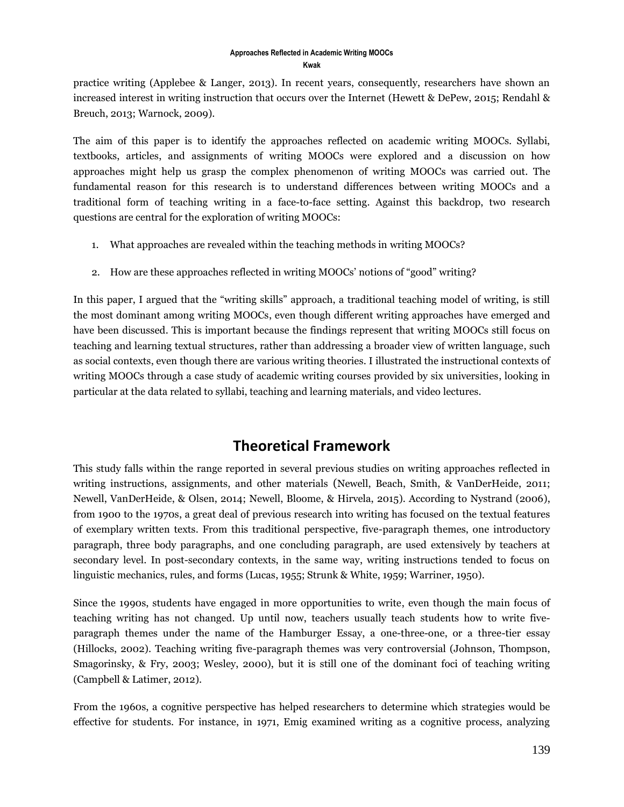practice writing (Applebee & Langer, 2013). In recent years, consequently, researchers have shown an increased interest in writing instruction that occurs over the Internet (Hewett & DePew, 2015; Rendahl & Breuch, 2013; Warnock, 2009).

The aim of this paper is to identify the approaches reflected on academic writing MOOCs. Syllabi, textbooks, articles, and assignments of writing MOOCs were explored and a discussion on how approaches might help us grasp the complex phenomenon of writing MOOCs was carried out. The fundamental reason for this research is to understand differences between writing MOOCs and a traditional form of teaching writing in a face-to-face setting. Against this backdrop, two research questions are central for the exploration of writing MOOCs:

- 1. What approaches are revealed within the teaching methods in writing MOOCs?
- 2. How are these approaches reflected in writing MOOCs' notions of "good" writing?

In this paper, I argued that the "writing skills" approach, a traditional teaching model of writing, is still the most dominant among writing MOOCs, even though different writing approaches have emerged and have been discussed. This is important because the findings represent that writing MOOCs still focus on teaching and learning textual structures, rather than addressing a broader view of written language, such as social contexts, even though there are various writing theories. I illustrated the instructional contexts of writing MOOCs through a case study of academic writing courses provided by six universities, looking in particular at the data related to syllabi, teaching and learning materials, and video lectures.

## **Theoretical Framework**

This study falls within the range reported in several previous studies on writing approaches reflected in writing instructions, assignments, and other materials (Newell, Beach, Smith, & VanDerHeide, 2011; Newell, VanDerHeide, & Olsen, 2014; Newell, Bloome, & Hirvela, 2015). According to Nystrand (2006), from 1900 to the 1970s, a great deal of previous research into writing has focused on the textual features of exemplary written texts. From this traditional perspective, five-paragraph themes, one introductory paragraph, three body paragraphs, and one concluding paragraph, are used extensively by teachers at secondary level. In post-secondary contexts, in the same way, writing instructions tended to focus on linguistic mechanics, rules, and forms (Lucas, 1955; Strunk & White, 1959; Warriner, 1950).

Since the 1990s, students have engaged in more opportunities to write, even though the main focus of teaching writing has not changed. Up until now, teachers usually teach students how to write fiveparagraph themes under the name of the Hamburger Essay, a one-three-one, or a three-tier essay (Hillocks, 2002). Teaching writing five-paragraph themes was very controversial (Johnson, Thompson, Smagorinsky, & Fry, 2003; Wesley, 2000), but it is still one of the dominant foci of teaching writing (Campbell & Latimer, 2012).

From the 1960s, a cognitive perspective has helped researchers to determine which strategies would be effective for students. For instance, in 1971, Emig examined writing as a cognitive process, analyzing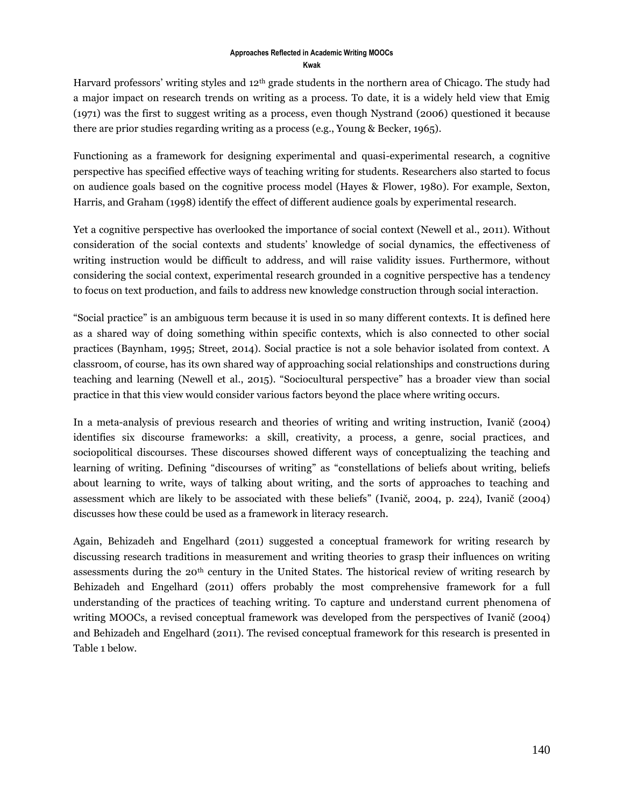Harvard professors' writing styles and  $12<sup>th</sup>$  grade students in the northern area of Chicago. The study had a major impact on research trends on writing as a process. To date, it is a widely held view that Emig (1971) was the first to suggest writing as a process, even though Nystrand (2006) questioned it because there are prior studies regarding writing as a process (e.g., Young & Becker, 1965).

Functioning as a framework for designing experimental and quasi-experimental research, a cognitive perspective has specified effective ways of teaching writing for students. Researchers also started to focus on audience goals based on the cognitive process model (Hayes & Flower, 1980). For example, Sexton, Harris, and Graham (1998) identify the effect of different audience goals by experimental research.

Yet a cognitive perspective has overlooked the importance of social context (Newell et al., 2011). Without consideration of the social contexts and students' knowledge of social dynamics, the effectiveness of writing instruction would be difficult to address, and will raise validity issues. Furthermore, without considering the social context, experimental research grounded in a cognitive perspective has a tendency to focus on text production, and fails to address new knowledge construction through social interaction.

"Social practice" is an ambiguous term because it is used in so many different contexts. It is defined here as a shared way of doing something within specific contexts, which is also connected to other social practices (Baynham, 1995; Street, 2014). Social practice is not a sole behavior isolated from context. A classroom, of course, has its own shared way of approaching social relationships and constructions during teaching and learning (Newell et al., 2015). "Sociocultural perspective" has a broader view than social practice in that this view would consider various factors beyond the place where writing occurs.

In a meta-analysis of previous research and theories of writing and writing instruction, Ivanič (2004) identifies six discourse frameworks: a skill, creativity, a process, a genre, social practices, and sociopolitical discourses. These discourses showed different ways of conceptualizing the teaching and learning of writing. Defining "discourses of writing" as "constellations of beliefs about writing, beliefs about learning to write, ways of talking about writing, and the sorts of approaches to teaching and assessment which are likely to be associated with these beliefs" (Ivanič, 2004, p. 224), Ivanič (2004) discusses how these could be used as a framework in literacy research.

Again, Behizadeh and Engelhard (2011) suggested a conceptual framework for writing research by discussing research traditions in measurement and writing theories to grasp their influences on writing assessments during the 20th century in the United States. The historical review of writing research by Behizadeh and Engelhard (2011) offers probably the most comprehensive framework for a full understanding of the practices of teaching writing. To capture and understand current phenomena of writing MOOCs, a revised conceptual framework was developed from the perspectives of Ivanič (2004) and Behizadeh and Engelhard (2011). The revised conceptual framework for this research is presented in Table 1 below.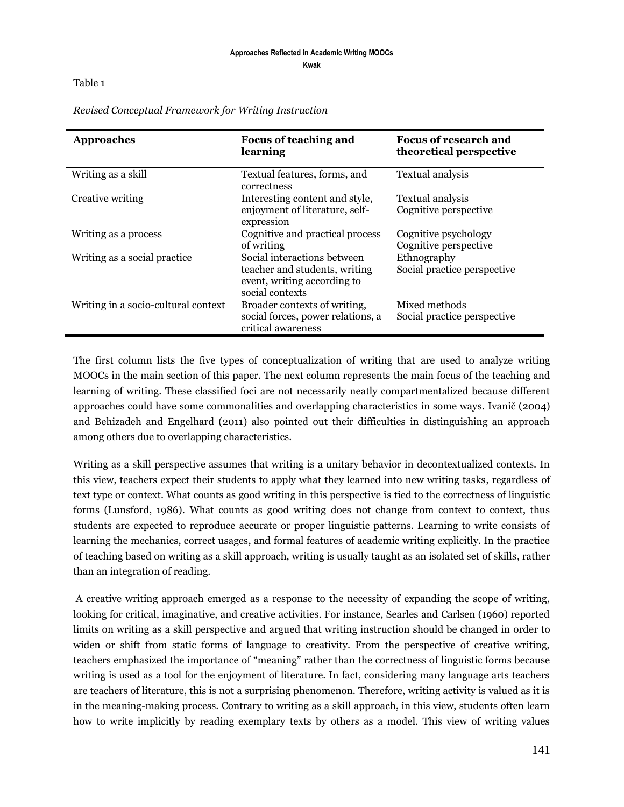Table 1

 $\blacksquare$ 

| <b>Approaches</b>                   | <b>Focus of teaching and</b><br>learning                                                                       | Focus of research and<br>theoretical perspective |
|-------------------------------------|----------------------------------------------------------------------------------------------------------------|--------------------------------------------------|
| Writing as a skill                  | Textual features, forms, and<br>correctness                                                                    | Textual analysis                                 |
| Creative writing                    | Interesting content and style,<br>enjoyment of literature, self-<br>expression                                 | Textual analysis<br>Cognitive perspective        |
| Writing as a process                | Cognitive and practical process<br>of writing                                                                  | Cognitive psychology<br>Cognitive perspective    |
| Writing as a social practice        | Social interactions between<br>teacher and students, writing<br>event, writing according to<br>social contexts | Ethnography<br>Social practice perspective       |
| Writing in a socio-cultural context | Broader contexts of writing,<br>social forces, power relations, a<br>critical awareness                        | Mixed methods<br>Social practice perspective     |

*Revised Conceptual Framework for Writing Instruction*

The first column lists the five types of conceptualization of writing that are used to analyze writing MOOCs in the main section of this paper. The next column represents the main focus of the teaching and learning of writing. These classified foci are not necessarily neatly compartmentalized because different approaches could have some commonalities and overlapping characteristics in some ways. Ivanič (2004) and Behizadeh and Engelhard (2011) also pointed out their difficulties in distinguishing an approach among others due to overlapping characteristics.

Writing as a skill perspective assumes that writing is a unitary behavior in decontextualized contexts. In this view, teachers expect their students to apply what they learned into new writing tasks, regardless of text type or context. What counts as good writing in this perspective is tied to the correctness of linguistic forms (Lunsford, 1986). What counts as good writing does not change from context to context, thus students are expected to reproduce accurate or proper linguistic patterns. Learning to write consists of learning the mechanics, correct usages, and formal features of academic writing explicitly. In the practice of teaching based on writing as a skill approach, writing is usually taught as an isolated set of skills, rather than an integration of reading.

A creative writing approach emerged as a response to the necessity of expanding the scope of writing, looking for critical, imaginative, and creative activities. For instance, Searles and Carlsen (1960) reported limits on writing as a skill perspective and argued that writing instruction should be changed in order to widen or shift from static forms of language to creativity. From the perspective of creative writing, teachers emphasized the importance of "meaning" rather than the correctness of linguistic forms because writing is used as a tool for the enjoyment of literature. In fact, considering many language arts teachers are teachers of literature, this is not a surprising phenomenon. Therefore, writing activity is valued as it is in the meaning-making process. Contrary to writing as a skill approach, in this view, students often learn how to write implicitly by reading exemplary texts by others as a model. This view of writing values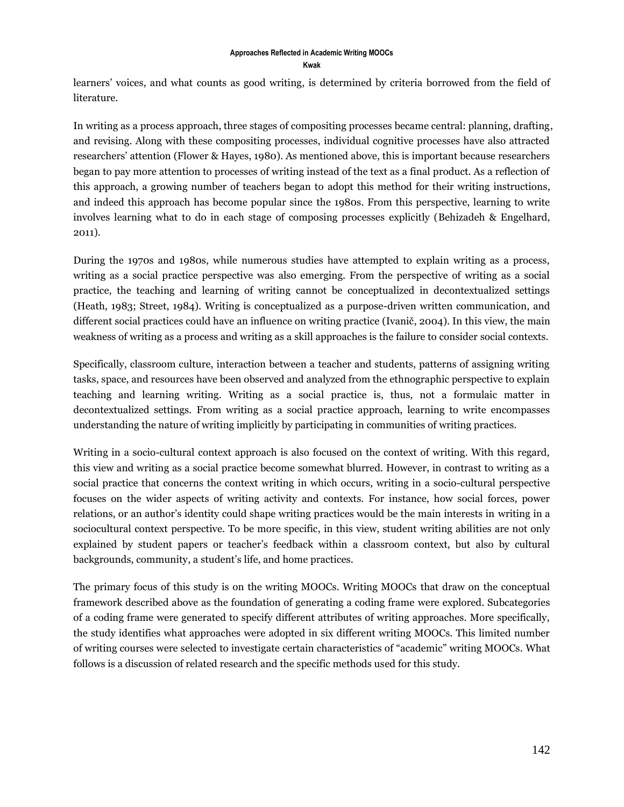learners' voices, and what counts as good writing, is determined by criteria borrowed from the field of literature.

In writing as a process approach, three stages of compositing processes became central: planning, drafting, and revising. Along with these compositing processes, individual cognitive processes have also attracted researchers' attention (Flower & Hayes, 1980). As mentioned above, this is important because researchers began to pay more attention to processes of writing instead of the text as a final product. As a reflection of this approach, a growing number of teachers began to adopt this method for their writing instructions, and indeed this approach has become popular since the 1980s. From this perspective, learning to write involves learning what to do in each stage of composing processes explicitly (Behizadeh & Engelhard, 2011).

During the 1970s and 1980s, while numerous studies have attempted to explain writing as a process, writing as a social practice perspective was also emerging. From the perspective of writing as a social practice, the teaching and learning of writing cannot be conceptualized in decontextualized settings (Heath, 1983; Street, 1984). Writing is conceptualized as a purpose-driven written communication, and different social practices could have an influence on writing practice (Ivanič, 2004). In this view, the main weakness of writing as a process and writing as a skill approaches is the failure to consider social contexts.

Specifically, classroom culture, interaction between a teacher and students, patterns of assigning writing tasks, space, and resources have been observed and analyzed from the ethnographic perspective to explain teaching and learning writing. Writing as a social practice is, thus, not a formulaic matter in decontextualized settings. From writing as a social practice approach, learning to write encompasses understanding the nature of writing implicitly by participating in communities of writing practices.

Writing in a socio-cultural context approach is also focused on the context of writing. With this regard, this view and writing as a social practice become somewhat blurred. However, in contrast to writing as a social practice that concerns the context writing in which occurs, writing in a socio-cultural perspective focuses on the wider aspects of writing activity and contexts. For instance, how social forces, power relations, or an author's identity could shape writing practices would be the main interests in writing in a sociocultural context perspective. To be more specific, in this view, student writing abilities are not only explained by student papers or teacher's feedback within a classroom context, but also by cultural backgrounds, community, a student's life, and home practices.

The primary focus of this study is on the writing MOOCs. Writing MOOCs that draw on the conceptual framework described above as the foundation of generating a coding frame were explored. Subcategories of a coding frame were generated to specify different attributes of writing approaches. More specifically, the study identifies what approaches were adopted in six different writing MOOCs. This limited number of writing courses were selected to investigate certain characteristics of "academic" writing MOOCs. What follows is a discussion of related research and the specific methods used for this study.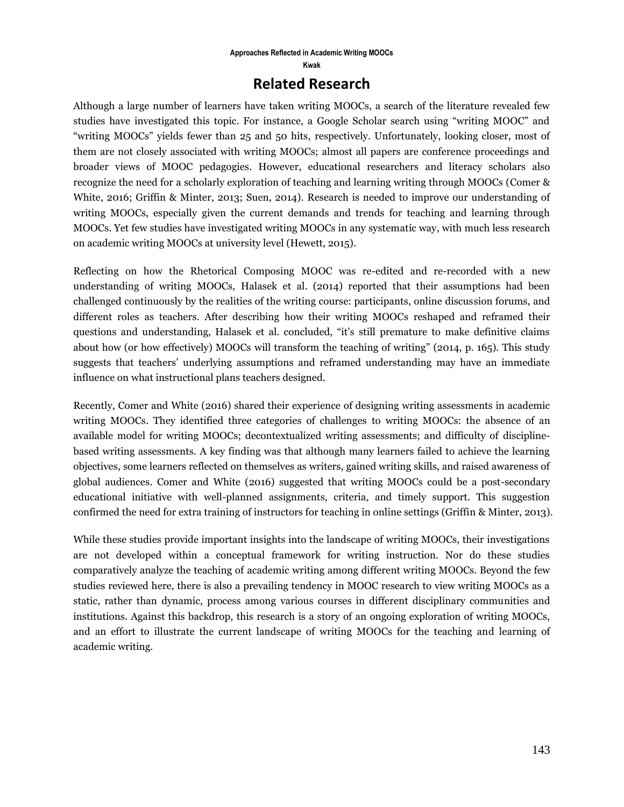## **Related Research**

Although a large number of learners have taken writing MOOCs, a search of the literature revealed few studies have investigated this topic. For instance, a Google Scholar search using "writing MOOC" and "writing MOOCs" yields fewer than 25 and 50 hits, respectively. Unfortunately, looking closer, most of them are not closely associated with writing MOOCs; almost all papers are conference proceedings and broader views of MOOC pedagogies. However, educational researchers and literacy scholars also recognize the need for a scholarly exploration of teaching and learning writing through MOOCs (Comer & White, 2016; Griffin & Minter, 2013; Suen, 2014). Research is needed to improve our understanding of writing MOOCs, especially given the current demands and trends for teaching and learning through MOOCs. Yet few studies have investigated writing MOOCs in any systematic way, with much less research on academic writing MOOCs at university level (Hewett, 2015).

Reflecting on how the Rhetorical Composing MOOC was re-edited and re-recorded with a new understanding of writing MOOCs, Halasek et al. (2014) reported that their assumptions had been challenged continuously by the realities of the writing course: participants, online discussion forums, and different roles as teachers. After describing how their writing MOOCs reshaped and reframed their questions and understanding, Halasek et al. concluded, "it's still premature to make definitive claims about how (or how effectively) MOOCs will transform the teaching of writing" (2014, p. 165). This study suggests that teachers' underlying assumptions and reframed understanding may have an immediate influence on what instructional plans teachers designed.

Recently, Comer and White (2016) shared their experience of designing writing assessments in academic writing MOOCs. They identified three categories of challenges to writing MOOCs: the absence of an available model for writing MOOCs; decontextualized writing assessments; and difficulty of disciplinebased writing assessments. A key finding was that although many learners failed to achieve the learning objectives, some learners reflected on themselves as writers, gained writing skills, and raised awareness of global audiences. Comer and White (2016) suggested that writing MOOCs could be a post-secondary educational initiative with well-planned assignments, criteria, and timely support. This suggestion confirmed the need for extra training of instructors for teaching in online settings (Griffin & Minter, 2013).

While these studies provide important insights into the landscape of writing MOOCs, their investigations are not developed within a conceptual framework for writing instruction. Nor do these studies comparatively analyze the teaching of academic writing among different writing MOOCs. Beyond the few studies reviewed here, there is also a prevailing tendency in MOOC research to view writing MOOCs as a static, rather than dynamic, process among various courses in different disciplinary communities and institutions. Against this backdrop, this research is a story of an ongoing exploration of writing MOOCs, and an effort to illustrate the current landscape of writing MOOCs for the teaching and learning of academic writing.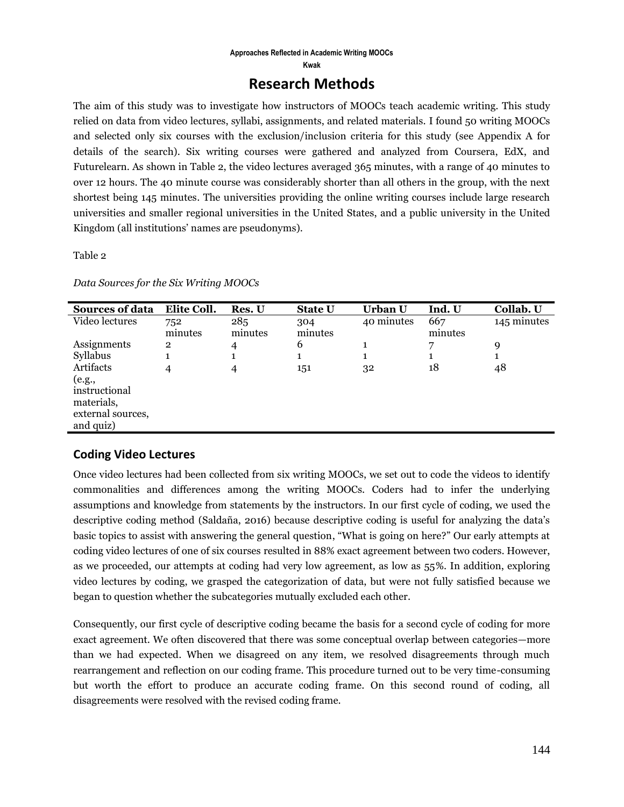## **Research Methods**

The aim of this study was to investigate how instructors of MOOCs teach academic writing. This study relied on data from video lectures, syllabi, assignments, and related materials. I found 50 writing MOOCs and selected only six courses with the exclusion/inclusion criteria for this study (see Appendix A for details of the search). Six writing courses were gathered and analyzed from Coursera, EdX, and Futurelearn. As shown in Table 2, the video lectures averaged 365 minutes, with a range of 40 minutes to over 12 hours. The 40 minute course was considerably shorter than all others in the group, with the next shortest being 145 minutes. The universities providing the online writing courses include large research universities and smaller regional universities in the United States, and a public university in the United Kingdom (all institutions' names are pseudonyms).

#### Table 2

| <b>Sources of data</b>                                                  | Elite Coll.    | Res. U         | <b>State U</b> | Urban U    | Ind. U         | Collab. U   |
|-------------------------------------------------------------------------|----------------|----------------|----------------|------------|----------------|-------------|
| Video lectures                                                          | 752<br>minutes | 285<br>minutes | 304<br>minutes | 40 minutes | 667<br>minutes | 145 minutes |
| Assignments                                                             | $\overline{2}$ | 4              | 6              |            |                | 9           |
| Syllabus                                                                |                |                |                |            | 1              | 1           |
| Artifacts                                                               | 4              | 4              | 151            | 32         | 18             | 48          |
| (e.g.,<br>instructional<br>materials,<br>external sources,<br>and quiz) |                |                |                |            |                |             |

*Data Sources for the Six Writing MOOCs*

### **Coding Video Lectures**

Once video lectures had been collected from six writing MOOCs, we set out to code the videos to identify commonalities and differences among the writing MOOCs. Coders had to infer the underlying assumptions and knowledge from statements by the instructors. In our first cycle of coding, we used the descriptive coding method (Saldaña, 2016) because descriptive coding is useful for analyzing the data's basic topics to assist with answering the general question, "What is going on here?" Our early attempts at coding video lectures of one of six courses resulted in 88% exact agreement between two coders. However, as we proceeded, our attempts at coding had very low agreement, as low as 55%. In addition, exploring video lectures by coding, we grasped the categorization of data, but were not fully satisfied because we began to question whether the subcategories mutually excluded each other.

Consequently, our first cycle of descriptive coding became the basis for a second cycle of coding for more exact agreement. We often discovered that there was some conceptual overlap between categories—more than we had expected. When we disagreed on any item, we resolved disagreements through much rearrangement and reflection on our coding frame. This procedure turned out to be very time-consuming but worth the effort to produce an accurate coding frame. On this second round of coding, all disagreements were resolved with the revised coding frame.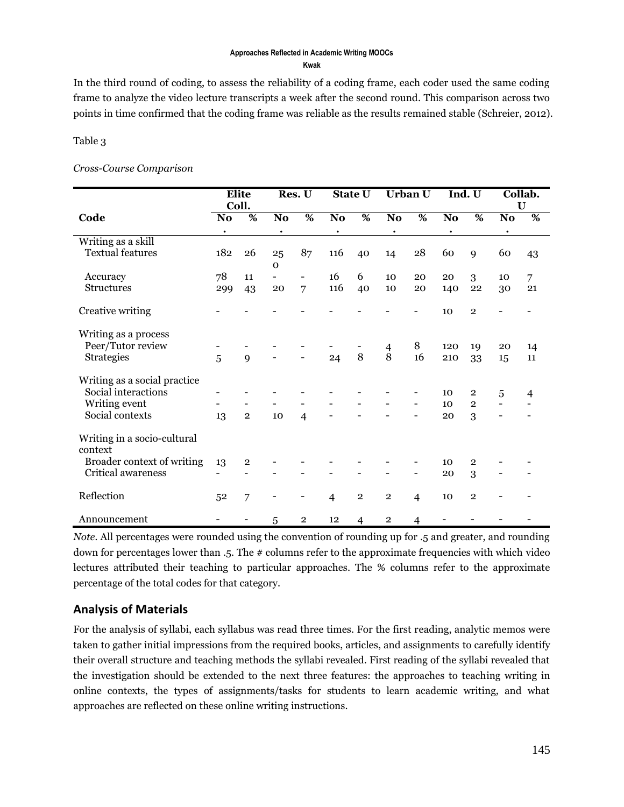#### **Approaches Reflected in Academic Writing MOOCs Kwak**

In the third round of coding, to assess the reliability of a coding frame, each coder used the same coding frame to analyze the video lecture transcripts a week after the second round. This comparison across two points in time confirmed that the coding frame was reliable as the results remained stable (Schreier, 2012).

#### Table 3

#### *Cross-Course Comparison*

|                                           |                | <b>Elite</b><br>Coll. |                          | Res. U                  |                        | <b>State U</b>  |                          | Urban U                      |     | Ind. U          |           | Collab.<br>U    |
|-------------------------------------------|----------------|-----------------------|--------------------------|-------------------------|------------------------|-----------------|--------------------------|------------------------------|-----|-----------------|-----------|-----------------|
| Code                                      | N <sub>o</sub> | $\overline{\%}$       | $\overline{\text{No}}$   | $\overline{\%}$         | $\overline{\text{No}}$ | $\overline{\%}$ | $\overline{\text{No}}$   | $\overline{\%}$              | No  | $\overline{\%}$ | No        | $\overline{\%}$ |
|                                           | ٠              |                       | $\bullet$                |                         | ٠                      |                 | ٠                        |                              | ٠   |                 | $\bullet$ |                 |
| Writing as a skill                        |                |                       |                          |                         |                        |                 |                          |                              |     |                 |           |                 |
| <b>Textual features</b>                   | 182            | 26                    | 25<br>$\mathbf 0$        | 87                      | 116                    | 40              | 14                       | 28                           | 60  | 9               | 60        | 43              |
| Accuracy                                  | 78             | 11                    | $\overline{\phantom{0}}$ |                         | 16                     | 6               | 10                       | 20                           | 20  | 3               | 10        | 7               |
| <b>Structures</b>                         | 299            | 43                    | 20                       | 7                       | 116                    | 40              | 10                       | 20                           | 140 | 22              | 30        | 21              |
| Creative writing                          |                |                       |                          |                         |                        |                 |                          |                              | 10  | $\mathbf{2}$    |           |                 |
| Writing as a process<br>Peer/Tutor review |                |                       |                          |                         |                        |                 | $\overline{\mathcal{A}}$ | 8                            | 120 | 19              | 20        | 14              |
| <b>Strategies</b>                         | 5              | 9                     |                          |                         | 24                     | 8               | 8                        | 16                           | 210 | 33              | 15        | 11              |
| Writing as a social practice              |                |                       |                          |                         |                        |                 |                          |                              |     |                 |           |                 |
| Social interactions                       |                |                       |                          |                         |                        |                 |                          |                              | 10  | $\overline{2}$  | 5         | 4               |
| Writing event                             |                |                       |                          |                         |                        |                 |                          | $\overline{\phantom{a}}$     | 10  | $\overline{2}$  |           |                 |
| Social contexts                           | 13             | $\overline{2}$        | 10                       | $\overline{4}$          |                        |                 |                          |                              | 20  | 3               |           |                 |
| Writing in a socio-cultural<br>context    |                |                       |                          |                         |                        |                 |                          |                              |     |                 |           |                 |
| Broader context of writing                | 13             | $\overline{2}$        |                          |                         |                        |                 |                          |                              | 10  | $\mathbf{2}$    |           |                 |
| Critical awareness                        |                |                       |                          |                         |                        |                 |                          | $\qquad \qquad \blacksquare$ | 20  | 3               |           |                 |
| Reflection                                | 52             | 7                     |                          |                         | $\overline{4}$         | $\mathbf{2}$    | $\overline{2}$           | $\overline{4}$               | 10  | $\overline{2}$  |           |                 |
| Announcement                              |                |                       | 5                        | $\overline{\mathbf{2}}$ | 12                     | $\overline{4}$  | $\mathbf 2$              | $\overline{4}$               |     |                 |           |                 |

*Note.* All percentages were rounded using the convention of rounding up for .5 and greater, and rounding down for percentages lower than .5. The # columns refer to the approximate frequencies with which video lectures attributed their teaching to particular approaches. The % columns refer to the approximate percentage of the total codes for that category.

### **Analysis of Materials**

For the analysis of syllabi, each syllabus was read three times. For the first reading, analytic memos were taken to gather initial impressions from the required books, articles, and assignments to carefully identify their overall structure and teaching methods the syllabi revealed. First reading of the syllabi revealed that the investigation should be extended to the next three features: the approaches to teaching writing in online contexts, the types of assignments/tasks for students to learn academic writing, and what approaches are reflected on these online writing instructions.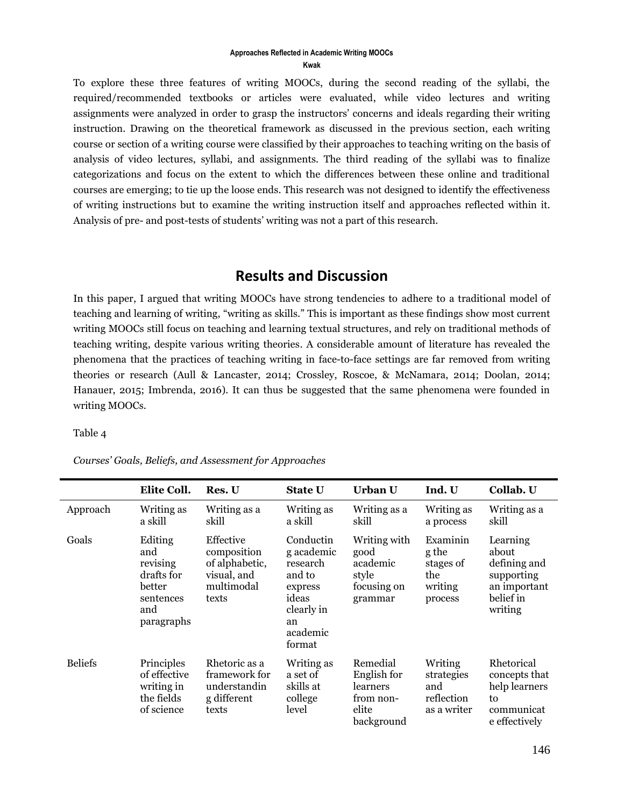To explore these three features of writing MOOCs, during the second reading of the syllabi, the required/recommended textbooks or articles were evaluated, while video lectures and writing assignments were analyzed in order to grasp the instructors' concerns and ideals regarding their writing instruction. Drawing on the theoretical framework as discussed in the previous section, each writing course or section of a writing course were classified by their approaches to teaching writing on the basis of analysis of video lectures, syllabi, and assignments. The third reading of the syllabi was to finalize categorizations and focus on the extent to which the differences between these online and traditional courses are emerging; to tie up the loose ends. This research was not designed to identify the effectiveness of writing instructions but to examine the writing instruction itself and approaches reflected within it. Analysis of pre- and post-tests of students' writing was not a part of this research.

## **Results and Discussion**

In this paper, I argued that writing MOOCs have strong tendencies to adhere to a traditional model of teaching and learning of writing, "writing as skills." This is important as these findings show most current writing MOOCs still focus on teaching and learning textual structures, and rely on traditional methods of teaching writing, despite various writing theories. A considerable amount of literature has revealed the phenomena that the practices of teaching writing in face-to-face settings are far removed from writing theories or research (Aull & Lancaster, 2014; Crossley, Roscoe, & McNamara, 2014; Doolan, 2014; Hanauer, 2015; Imbrenda, 2016). It can thus be suggested that the same phenomena were founded in writing MOOCs.

Table 4

|                | Elite Coll.                                                                          | Res. U                                                                           | <b>State U</b>                                                                                              | Urban U                                                                 | Ind. U                                                      | Collab. U                                                                               |
|----------------|--------------------------------------------------------------------------------------|----------------------------------------------------------------------------------|-------------------------------------------------------------------------------------------------------------|-------------------------------------------------------------------------|-------------------------------------------------------------|-----------------------------------------------------------------------------------------|
| Approach       | Writing as<br>a skill                                                                | Writing as a<br>skill                                                            | Writing as<br>a skill                                                                                       | Writing as a<br>skill                                                   | Writing as<br>a process                                     | Writing as a<br>skill                                                                   |
| Goals          | Editing<br>and<br>revising<br>drafts for<br>better<br>sentences<br>and<br>paragraphs | Effective<br>composition<br>of alphabetic,<br>visual, and<br>multimodal<br>texts | Conductin<br>g academic<br>research<br>and to<br>express<br>ideas<br>clearly in<br>an<br>academic<br>format | Writing with<br>good<br>academic<br>style<br>focusing on<br>grammar     | Examinin<br>g the<br>stages of<br>the<br>writing<br>process | Learning<br>about<br>defining and<br>supporting<br>an important<br>belief in<br>writing |
| <b>Beliefs</b> | Principles<br>of effective<br>writing in<br>the fields<br>of science                 | Rhetoric as a<br>framework for<br>understandin<br>g different<br>texts           | Writing as<br>a set of<br>skills at<br>college<br>level                                                     | Remedial<br>English for<br>learners<br>from non-<br>elite<br>background | Writing<br>strategies<br>and<br>reflection<br>as a writer   | Rhetorical<br>concepts that<br>help learners<br>to<br>communicat<br>e effectively       |

*Courses' Goals, Beliefs, and Assessment for Approaches*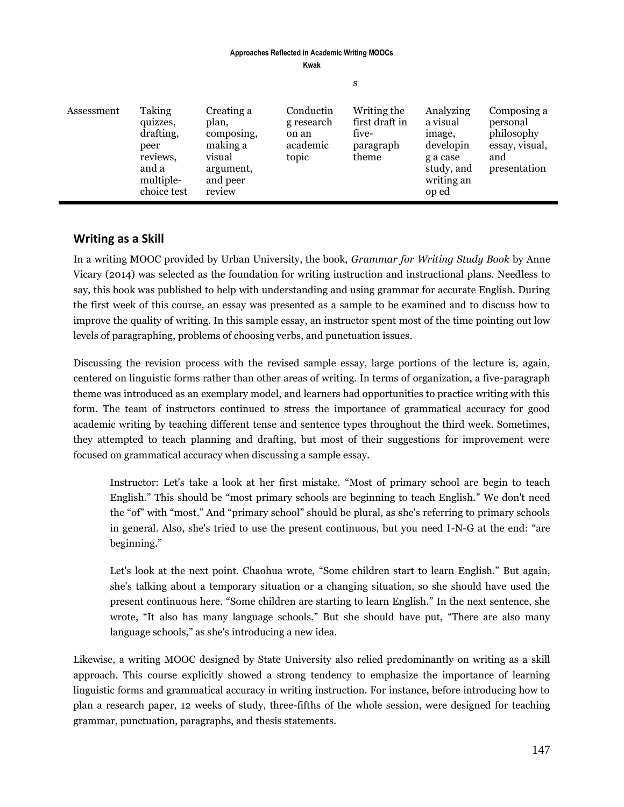#### **Approaches Reflected in Academic Writing MOOCs Kwak**

| I | ۰, | I<br>I |  |
|---|----|--------|--|

| Assessment | Taking<br>quizzes,<br>drafting,<br>peer<br>reviews,<br>and a<br>multiple-<br>choice test | Creating a<br>plan,<br>composing,<br>making a<br>visual<br>argument,<br>and peer<br>review | Conductin<br>g research<br>on an<br>academic<br>topic | Writing the<br>first draft in<br>five-<br>paragraph<br>theme | Analyzing<br>a visual<br>image,<br>developin<br>g a case<br>study, and<br>writing an<br>op ed | Composing a<br>personal<br>philosophy<br>essay, visual,<br>and<br>presentation |
|------------|------------------------------------------------------------------------------------------|--------------------------------------------------------------------------------------------|-------------------------------------------------------|--------------------------------------------------------------|-----------------------------------------------------------------------------------------------|--------------------------------------------------------------------------------|
|------------|------------------------------------------------------------------------------------------|--------------------------------------------------------------------------------------------|-------------------------------------------------------|--------------------------------------------------------------|-----------------------------------------------------------------------------------------------|--------------------------------------------------------------------------------|

### **Writing as a Skill**

In a writing MOOC provided by Urban University, the book, *Grammar for Writing Study Book* by Anne Vicary (2014) was selected as the foundation for writing instruction and instructional plans. Needless to say, this book was published to help with understanding and using grammar for accurate English. During the first week of this course, an essay was presented as a sample to be examined and to discuss how to improve the quality of writing. In this sample essay, an instructor spent most of the time pointing out low levels of paragraphing, problems of choosing verbs, and punctuation issues.

Discussing the revision process with the revised sample essay, large portions of the lecture is, again, centered on linguistic forms rather than other areas of writing. In terms of organization, a five-paragraph theme was introduced as an exemplary model, and learners had opportunities to practice writing with this form. The team of instructors continued to stress the importance of grammatical accuracy for good academic writing by teaching different tense and sentence types throughout the third week. Sometimes, they attempted to teach planning and drafting, but most of their suggestions for improvement were focused on grammatical accuracy when discussing a sample essay.

Instructor: Let's take a look at her first mistake. "Most of primary school are begin to teach English." This should be "most primary schools are beginning to teach English." We don't need the "of" with "most." And "primary school" should be plural, as she's referring to primary schools in general. Also, she's tried to use the present continuous, but you need I-N-G at the end: "are beginning."

Let's look at the next point. Chaohua wrote, "Some children start to learn English." But again, she's talking about a temporary situation or a changing situation, so she should have used the present continuous here. "Some children are starting to learn English." In the next sentence, she wrote, "It also has many language schools." But she should have put, "There are also many language schools," as she's introducing a new idea.

Likewise, a writing MOOC designed by State University also relied predominantly on writing as a skill approach. This course explicitly showed a strong tendency to emphasize the importance of learning linguistic forms and grammatical accuracy in writing instruction. For instance, before introducing how to plan a research paper, 12 weeks of study, three-fifths of the whole session, were designed for teaching grammar, punctuation, paragraphs, and thesis statements.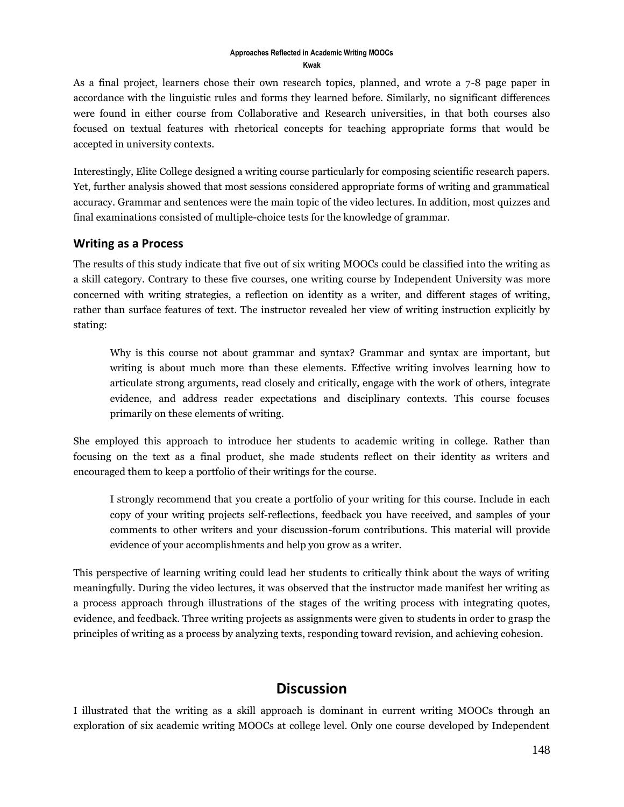As a final project, learners chose their own research topics, planned, and wrote a 7-8 page paper in accordance with the linguistic rules and forms they learned before. Similarly, no significant differences were found in either course from Collaborative and Research universities, in that both courses also focused on textual features with rhetorical concepts for teaching appropriate forms that would be accepted in university contexts.

Interestingly, Elite College designed a writing course particularly for composing scientific research papers. Yet, further analysis showed that most sessions considered appropriate forms of writing and grammatical accuracy. Grammar and sentences were the main topic of the video lectures. In addition, most quizzes and final examinations consisted of multiple-choice tests for the knowledge of grammar.

### **Writing as a Process**

The results of this study indicate that five out of six writing MOOCs could be classified into the writing as a skill category. Contrary to these five courses, one writing course by Independent University was more concerned with writing strategies, a reflection on identity as a writer, and different stages of writing, rather than surface features of text. The instructor revealed her view of writing instruction explicitly by stating:

Why is this course not about grammar and syntax? Grammar and syntax are important, but writing is about much more than these elements. Effective writing involves learning how to articulate strong arguments, read closely and critically, engage with the work of others, integrate evidence, and address reader expectations and disciplinary contexts. This course focuses primarily on these elements of writing.

She employed this approach to introduce her students to academic writing in college. Rather than focusing on the text as a final product, she made students reflect on their identity as writers and encouraged them to keep a portfolio of their writings for the course.

I strongly recommend that you create a portfolio of your writing for this course. Include in each copy of your writing projects self-reflections, feedback you have received, and samples of your comments to other writers and your discussion-forum contributions. This material will provide evidence of your accomplishments and help you grow as a writer.

This perspective of learning writing could lead her students to critically think about the ways of writing meaningfully. During the video lectures, it was observed that the instructor made manifest her writing as a process approach through illustrations of the stages of the writing process with integrating quotes, evidence, and feedback. Three writing projects as assignments were given to students in order to grasp the principles of writing as a process by analyzing texts, responding toward revision, and achieving cohesion.

## **Discussion**

I illustrated that the writing as a skill approach is dominant in current writing MOOCs through an exploration of six academic writing MOOCs at college level. Only one course developed by Independent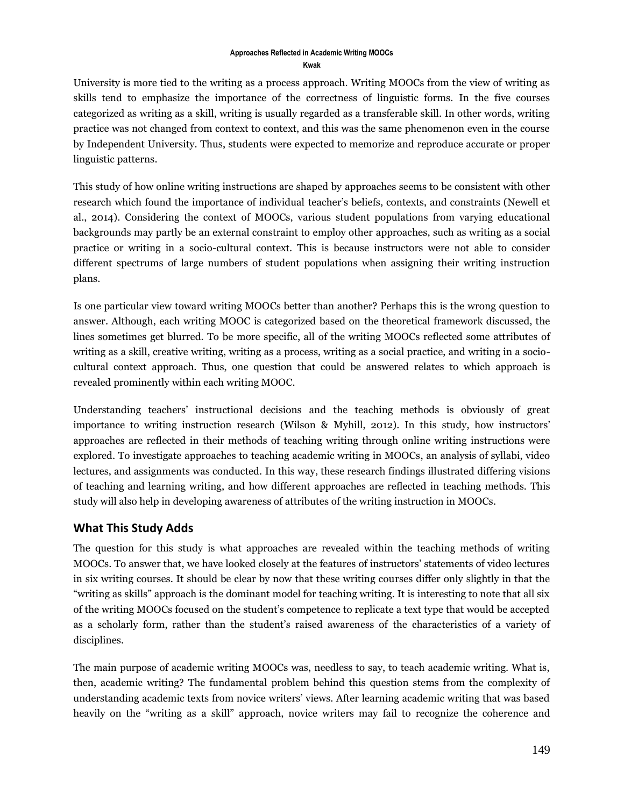University is more tied to the writing as a process approach. Writing MOOCs from the view of writing as skills tend to emphasize the importance of the correctness of linguistic forms. In the five courses categorized as writing as a skill, writing is usually regarded as a transferable skill. In other words, writing practice was not changed from context to context, and this was the same phenomenon even in the course by Independent University. Thus, students were expected to memorize and reproduce accurate or proper linguistic patterns.

This study of how online writing instructions are shaped by approaches seems to be consistent with other research which found the importance of individual teacher's beliefs, contexts, and constraints (Newell et al., 2014). Considering the context of MOOCs, various student populations from varying educational backgrounds may partly be an external constraint to employ other approaches, such as writing as a social practice or writing in a socio-cultural context. This is because instructors were not able to consider different spectrums of large numbers of student populations when assigning their writing instruction plans.

Is one particular view toward writing MOOCs better than another? Perhaps this is the wrong question to answer. Although, each writing MOOC is categorized based on the theoretical framework discussed, the lines sometimes get blurred. To be more specific, all of the writing MOOCs reflected some attributes of writing as a skill, creative writing, writing as a process, writing as a social practice, and writing in a sociocultural context approach. Thus, one question that could be answered relates to which approach is revealed prominently within each writing MOOC.

Understanding teachers' instructional decisions and the teaching methods is obviously of great importance to writing instruction research (Wilson & Myhill, 2012). In this study, how instructors' approaches are reflected in their methods of teaching writing through online writing instructions were explored. To investigate approaches to teaching academic writing in MOOCs, an analysis of syllabi, video lectures, and assignments was conducted. In this way, these research findings illustrated differing visions of teaching and learning writing, and how different approaches are reflected in teaching methods. This study will also help in developing awareness of attributes of the writing instruction in MOOCs.

### **What This Study Adds**

The question for this study is what approaches are revealed within the teaching methods of writing MOOCs. To answer that, we have looked closely at the features of instructors' statements of video lectures in six writing courses. It should be clear by now that these writing courses differ only slightly in that the "writing as skills" approach is the dominant model for teaching writing. It is interesting to note that all six of the writing MOOCs focused on the student's competence to replicate a text type that would be accepted as a scholarly form, rather than the student's raised awareness of the characteristics of a variety of disciplines.

The main purpose of academic writing MOOCs was, needless to say, to teach academic writing. What is, then, academic writing? The fundamental problem behind this question stems from the complexity of understanding academic texts from novice writers' views. After learning academic writing that was based heavily on the "writing as a skill" approach, novice writers may fail to recognize the coherence and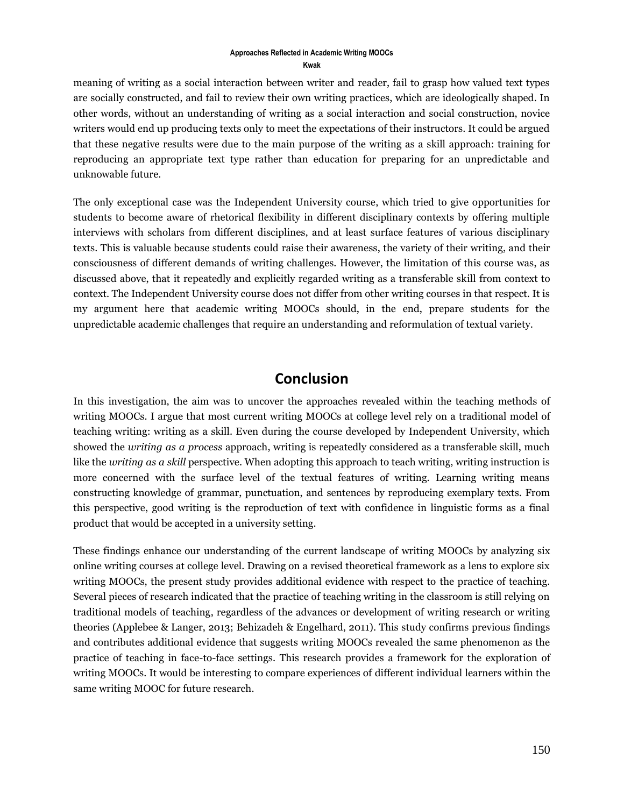meaning of writing as a social interaction between writer and reader, fail to grasp how valued text types are socially constructed, and fail to review their own writing practices, which are ideologically shaped. In other words, without an understanding of writing as a social interaction and social construction, novice writers would end up producing texts only to meet the expectations of their instructors. It could be argued that these negative results were due to the main purpose of the writing as a skill approach: training for reproducing an appropriate text type rather than education for preparing for an unpredictable and unknowable future.

The only exceptional case was the Independent University course, which tried to give opportunities for students to become aware of rhetorical flexibility in different disciplinary contexts by offering multiple interviews with scholars from different disciplines, and at least surface features of various disciplinary texts. This is valuable because students could raise their awareness, the variety of their writing, and their consciousness of different demands of writing challenges. However, the limitation of this course was, as discussed above, that it repeatedly and explicitly regarded writing as a transferable skill from context to context. The Independent University course does not differ from other writing courses in that respect. It is my argument here that academic writing MOOCs should, in the end, prepare students for the unpredictable academic challenges that require an understanding and reformulation of textual variety.

## **Conclusion**

In this investigation, the aim was to uncover the approaches revealed within the teaching methods of writing MOOCs. I argue that most current writing MOOCs at college level rely on a traditional model of teaching writing: writing as a skill. Even during the course developed by Independent University, which showed the *writing as a process* approach, writing is repeatedly considered as a transferable skill, much like the *writing as a skill* perspective. When adopting this approach to teach writing, writing instruction is more concerned with the surface level of the textual features of writing. Learning writing means constructing knowledge of grammar, punctuation, and sentences by reproducing exemplary texts. From this perspective, good writing is the reproduction of text with confidence in linguistic forms as a final product that would be accepted in a university setting.

These findings enhance our understanding of the current landscape of writing MOOCs by analyzing six online writing courses at college level. Drawing on a revised theoretical framework as a lens to explore six writing MOOCs, the present study provides additional evidence with respect to the practice of teaching. Several pieces of research indicated that the practice of teaching writing in the classroom is still relying on traditional models of teaching, regardless of the advances or development of writing research or writing theories (Applebee & Langer, 2013; Behizadeh & Engelhard, 2011). This study confirms previous findings and contributes additional evidence that suggests writing MOOCs revealed the same phenomenon as the practice of teaching in face-to-face settings. This research provides a framework for the exploration of writing MOOCs. It would be interesting to compare experiences of different individual learners within the same writing MOOC for future research.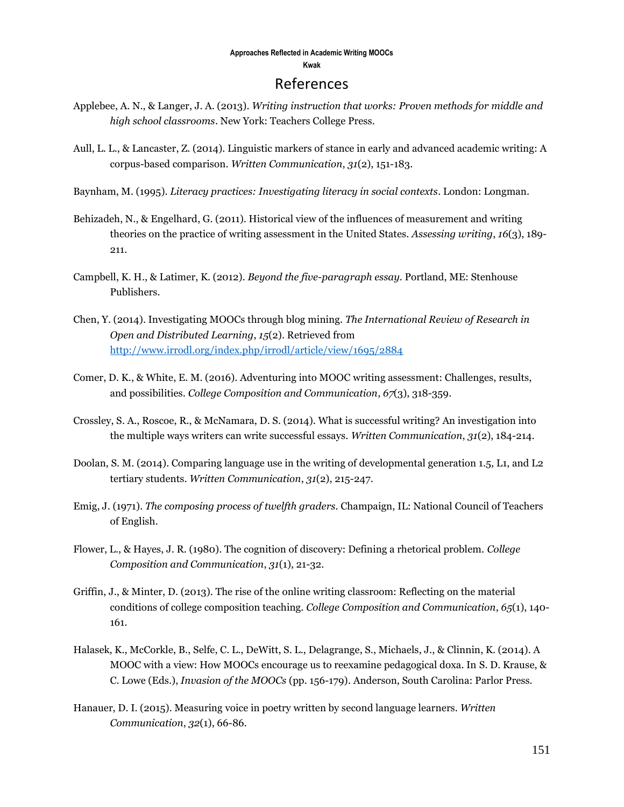### References

- Applebee, A. N., & Langer, J. A. (2013). *Writing instruction that works: Proven methods for middle and high school classrooms*. New York: Teachers College Press.
- Aull, L. L., & Lancaster, Z. (2014). Linguistic markers of stance in early and advanced academic writing: A corpus-based comparison. *Written Communication*, *31*(2), 151-183.
- Baynham, M. (1995). *Literacy practices: Investigating literacy in social contexts*. London: Longman.
- Behizadeh, N., & Engelhard, G. (2011). Historical view of the influences of measurement and writing theories on the practice of writing assessment in the United States. *Assessing writing*, *16*(3), 189- 211.
- Campbell, K. H., & Latimer, K. (2012). *Beyond the five-paragraph essay*. Portland, ME: Stenhouse Publishers.
- Chen, Y. (2014). Investigating MOOCs through blog mining. *The International Review of Research in Open and Distributed Learning*, *15*(2). Retrieved from <http://www.irrodl.org/index.php/irrodl/article/view/1695/2884>
- Comer, D. K., & White, E. M. (2016). Adventuring into MOOC writing assessment: Challenges, results, and possibilities. *College Composition and Communication*, *67*(3), 318-359.
- Crossley, S. A., Roscoe, R., & McNamara, D. S. (2014). What is successful writing? An investigation into the multiple ways writers can write successful essays. *Written Communication*, *31*(2), 184-214.
- Doolan, S. M. (2014). Comparing language use in the writing of developmental generation 1.5, L1, and L2 tertiary students. *Written Communication*, *31*(2), 215-247.
- Emig, J. (1971). *The composing process of twelfth graders*. Champaign, IL: National Council of Teachers of English.
- Flower, L., & Hayes, J. R. (1980). The cognition of discovery: Defining a rhetorical problem. *College Composition and Communication*, *31*(1), 21-32.
- Griffin, J., & Minter, D. (2013). The rise of the online writing classroom: Reflecting on the material conditions of college composition teaching. *College Composition and Communication*, *65*(1), 140- 161.
- Halasek, K., McCorkle, B., Selfe, C. L., DeWitt, S. L., Delagrange, S., Michaels, J., & Clinnin, K. (2014). A MOOC with a view: How MOOCs encourage us to reexamine pedagogical doxa. In S. D. Krause, & C. Lowe (Eds.), *Invasion of the MOOCs* (pp. 156-179). Anderson, South Carolina: Parlor Press.
- Hanauer, D. I. (2015). Measuring voice in poetry written by second language learners. *Written Communication*, *32*(1), 66-86.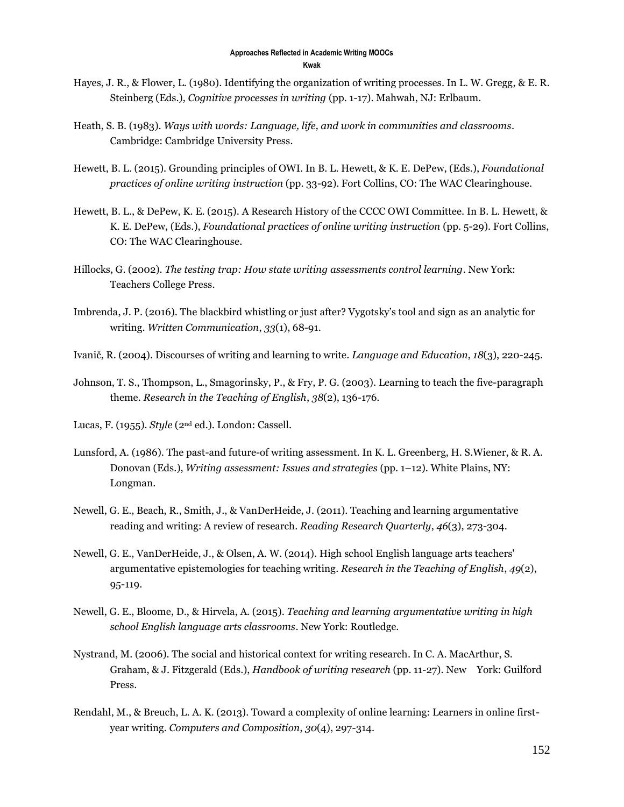- Hayes, J. R., & Flower, L. (1980). Identifying the organization of writing processes. In L. W. Gregg, & E. R. Steinberg (Eds.), *Cognitive processes in writing* (pp. 1-17). Mahwah, NJ: Erlbaum.
- Heath, S. B. (1983). *Ways with words: Language, life, and work in communities and classrooms*. Cambridge: Cambridge University Press.
- Hewett, B. L. (2015). Grounding principles of OWI. In B. L. Hewett, & K. E. DePew, (Eds.), *Foundational practices of online writing instruction* (pp. 33-92). Fort Collins, CO: The WAC Clearinghouse.
- Hewett, B. L., & DePew, K. E. (2015). A Research History of the CCCC OWI Committee. In B. L. Hewett, & K. E. DePew, (Eds.), *Foundational practices of online writing instruction* (pp. 5-29). Fort Collins, CO: The WAC Clearinghouse.
- Hillocks, G. (2002). *The testing trap: How state writing assessments control learning*. New York: Teachers College Press.
- Imbrenda, J. P. (2016). The blackbird whistling or just after? Vygotsky's tool and sign as an analytic for writing. *Written Communication*, *33*(1), 68-91.
- Ivanič, R. (2004). Discourses of writing and learning to write. *Language and Education*, *18*(3), 220-245.
- Johnson, T. S., Thompson, L., Smagorinsky, P., & Fry, P. G. (2003). Learning to teach the five-paragraph theme. *Research in the Teaching of English*, *38*(2), 136-176.
- Lucas, F. (1955). *Style* (2nd ed.). London: Cassell.
- Lunsford, A. (1986). The past-and future-of writing assessment. In K. L. Greenberg, H. S.Wiener, & R. A. Donovan (Eds.), *Writing assessment: Issues and strategies* (pp. 1–12). White Plains, NY: Longman.
- Newell, G. E., Beach, R., Smith, J., & VanDerHeide, J. (2011). Teaching and learning argumentative reading and writing: A review of research. *Reading Research Quarterly*, *46*(3), 273-304.
- Newell, G. E., VanDerHeide, J., & Olsen, A. W. (2014). High school English language arts teachers' argumentative epistemologies for teaching writing. *Research in the Teaching of English*, *49*(2), 95-119.
- Newell, G. E., Bloome, D., & Hirvela, A. (2015). *Teaching and learning argumentative writing in high school English language arts classrooms*. New York: Routledge.
- Nystrand, M. (2006). The social and historical context for writing research. In C. A. MacArthur, S. Graham, & J. Fitzgerald (Eds.), *Handbook of writing research* (pp. 11-27). New York: Guilford Press.
- Rendahl, M., & Breuch, L. A. K. (2013). Toward a complexity of online learning: Learners in online firstyear writing. *Computers and Composition*, *30*(4), 297-314.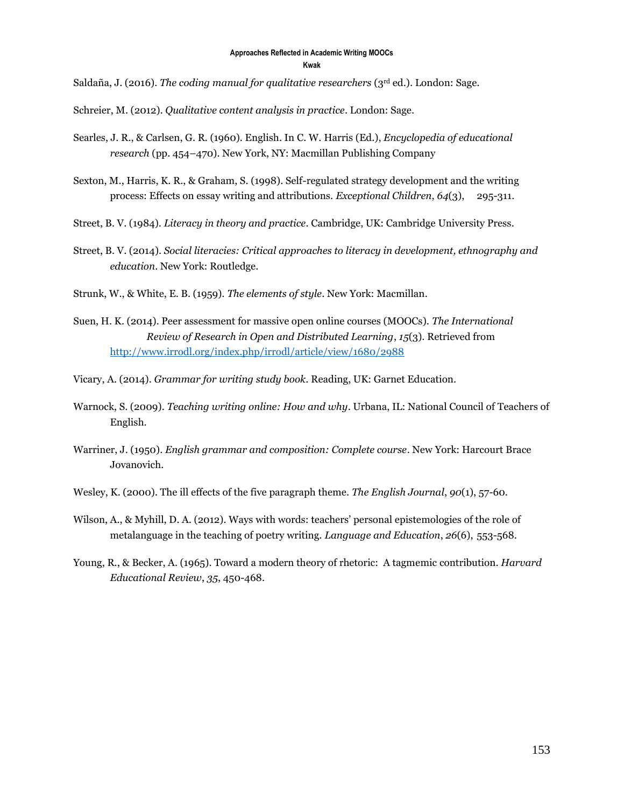Saldaña, J. (2016). *The coding manual for qualitative researchers* (3rd ed.). London: Sage.

Schreier, M. (2012). *Qualitative content analysis in practice*. London: Sage.

- Searles, J. R., & Carlsen, G. R. (1960). English. In C. W. Harris (Ed.), *Encyclopedia of educational research* (pp. 454–470). New York, NY: Macmillan Publishing Company
- Sexton, M., Harris, K. R., & Graham, S. (1998). Self-regulated strategy development and the writing process: Effects on essay writing and attributions. *Exceptional Children*, *64*(3), 295-311.
- Street, B. V. (1984). *Literacy in theory and practice*. Cambridge, UK: Cambridge University Press.
- Street, B. V. (2014). *Social literacies: Critical approaches to literacy in development, ethnography and education*. New York: Routledge.
- Strunk, W., & White, E. B. (1959). *The elements of style*. New York: Macmillan.
- Suen, H. K. (2014). Peer assessment for massive open online courses (MOOCs). *The International Review of Research in Open and Distributed Learning*, *15*(3). Retrieved from <http://www.irrodl.org/index.php/irrodl/article/view/1680/2988>
- Vicary, A. (2014). *Grammar for writing study book*. Reading, UK: Garnet Education.
- Warnock, S. (2009). *Teaching writing online: How and why*. Urbana, IL: National Council of Teachers of English.
- Warriner, J. (1950). *English grammar and composition: Complete course*. New York: Harcourt Brace Jovanovich.
- Wesley, K. (2000). The ill effects of the five paragraph theme. *The English Journal*, *90*(1), 57-60.
- Wilson, A., & Myhill, D. A. (2012). Ways with words: teachers' personal epistemologies of the role of metalanguage in the teaching of poetry writing. *Language and Education*, *26*(6), 553-568.
- Young, R., & Becker, A. (1965). Toward a modern theory of rhetoric: A tagmemic contribution. *Harvard Educational Review*, *35*, 450-468.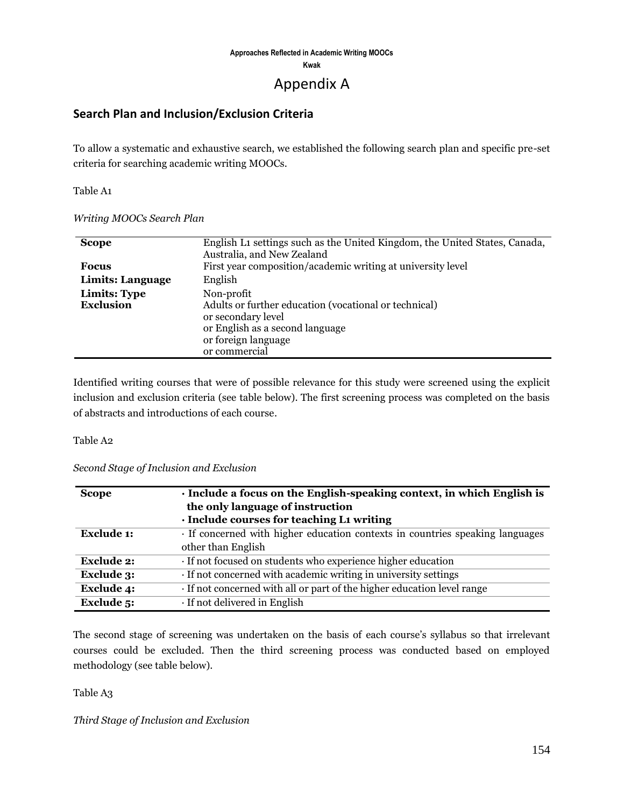## Appendix A

### **Search Plan and Inclusion/Exclusion Criteria**

To allow a systematic and exhaustive search, we established the following search plan and specific pre-set criteria for searching academic writing MOOCs.

Table A1

|  | Writing MOOCs Search Plan |
|--|---------------------------|
|--|---------------------------|

| <b>Scope</b>     | English L1 settings such as the United Kingdom, the United States, Canada,<br>Australia, and New Zealand       |
|------------------|----------------------------------------------------------------------------------------------------------------|
| <b>Focus</b>     | First year composition/academic writing at university level                                                    |
| Limits: Language | English                                                                                                        |
| Limits: Type     | Non-profit                                                                                                     |
| <b>Exclusion</b> | Adults or further education (vocational or technical)<br>or secondary level<br>or English as a second language |
|                  | or foreign language                                                                                            |
|                  | or commercial                                                                                                  |

Identified writing courses that were of possible relevance for this study were screened using the explicit inclusion and exclusion criteria (see table below). The first screening process was completed on the basis of abstracts and introductions of each course.

#### Table A2

#### *Second Stage of Inclusion and Exclusion*

| <b>Scope</b>      | · Include a focus on the English-speaking context, in which English is        |
|-------------------|-------------------------------------------------------------------------------|
|                   | the only language of instruction                                              |
|                   | · Include courses for teaching L1 writing                                     |
| <b>Exclude 1:</b> | · If concerned with higher education contexts in countries speaking languages |
|                   | other than English                                                            |
| <b>Exclude 2:</b> | · If not focused on students who experience higher education                  |
| <b>Exclude 3:</b> | If not concerned with academic writing in university settings                 |
| <b>Exclude 4:</b> | If not concerned with all or part of the higher education level range         |
| <b>Exclude 5:</b> | · If not delivered in English                                                 |

The second stage of screening was undertaken on the basis of each course's syllabus so that irrelevant courses could be excluded. Then the third screening process was conducted based on employed methodology (see table below).

Table A3

*Third Stage of Inclusion and Exclusion*